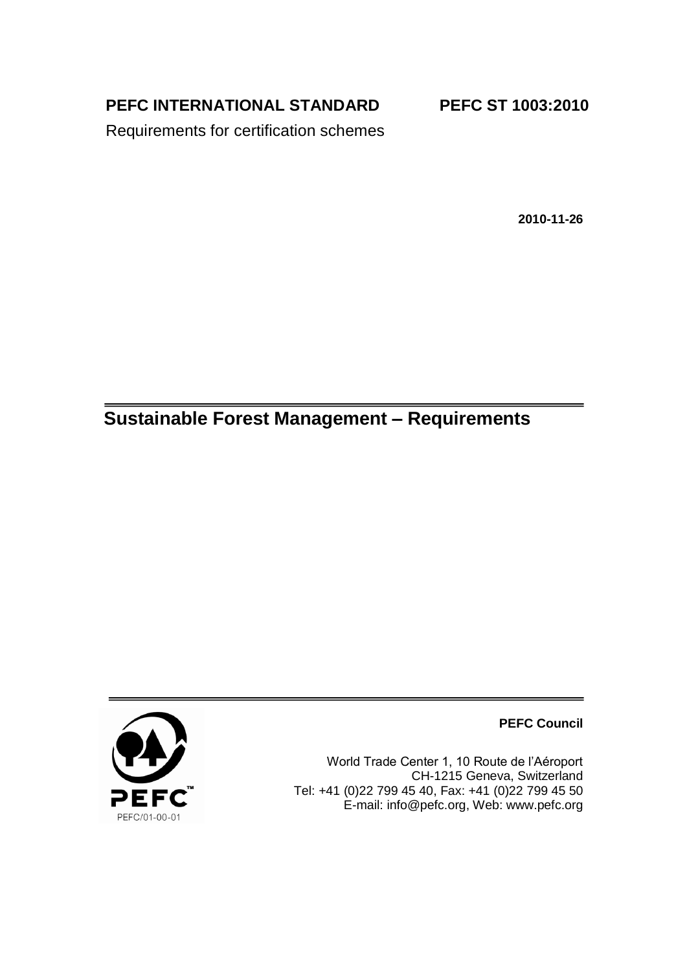**PEFC INTERNATIONAL STANDARD**

**PEFC ST 1003:2010**

Requirements for certification schemes

**2010-11-26**

# **Sustainable Forest Management – Requirements**



**PEFC Council**

World Trade Center 1, 10 Route de l'Aéroport CH-1215 Geneva, Switzerland Tel: +41 (0)22 799 45 40, Fax: +41 (0)22 799 45 50 E-mail: [info@pefc.org,](mailto:info@pefc.org) Web: [www.pefc.org](http://www.pefc.org/)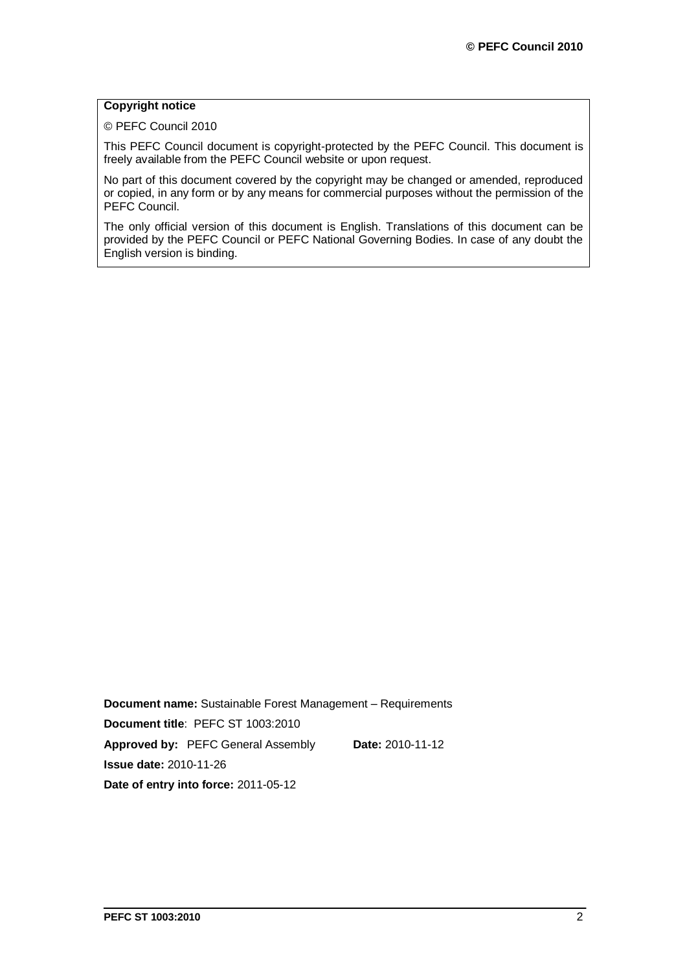### **Copyright notice**

© PEFC Council 2010

This PEFC Council document is copyright-protected by the PEFC Council. This document is freely available from the PEFC Council website or upon request.

No part of this document covered by the copyright may be changed or amended, reproduced or copied, in any form or by any means for commercial purposes without the permission of the PEFC Council.

The only official version of this document is English. Translations of this document can be provided by the PEFC Council or PEFC National Governing Bodies. In case of any doubt the English version is binding.

**Document name:** Sustainable Forest Management – Requirements **Document title**: PEFC ST 1003:2010 **Approved by:** PEFC General Assembly **Date:** 2010-11-12 **Issue date:** 2010-11-26 **Date of entry into force:** 2011-05-12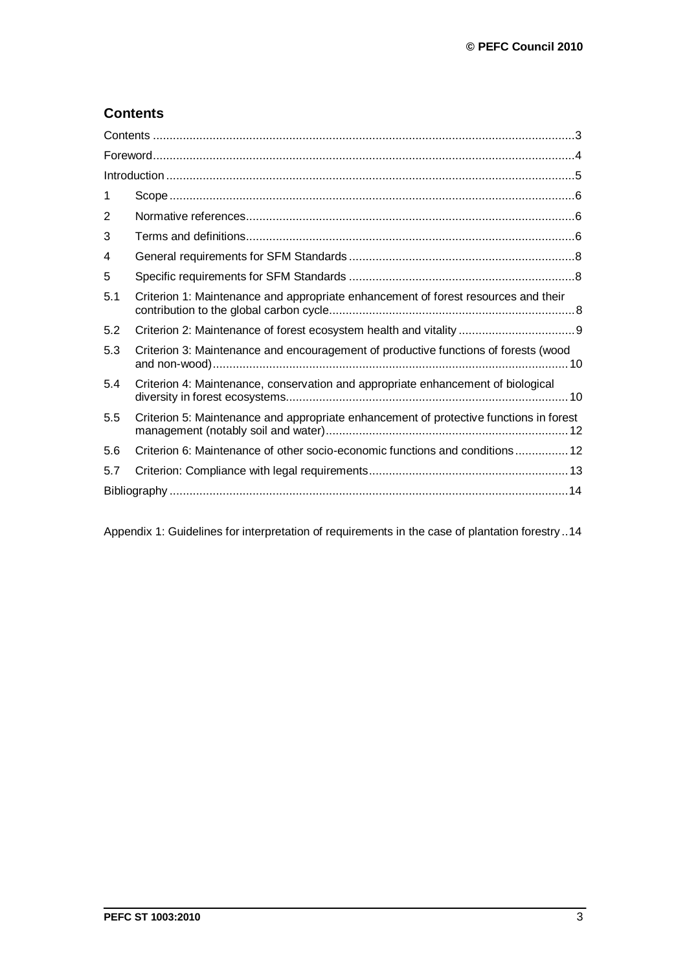# **Contents**

| 1   |                                                                                        |  |  |
|-----|----------------------------------------------------------------------------------------|--|--|
| 2   |                                                                                        |  |  |
| 3   |                                                                                        |  |  |
| 4   |                                                                                        |  |  |
| 5   |                                                                                        |  |  |
| 5.1 | Criterion 1: Maintenance and appropriate enhancement of forest resources and their     |  |  |
| 5.2 |                                                                                        |  |  |
| 5.3 | Criterion 3: Maintenance and encouragement of productive functions of forests (wood    |  |  |
| 5.4 | Criterion 4: Maintenance, conservation and appropriate enhancement of biological       |  |  |
| 5.5 | Criterion 5: Maintenance and appropriate enhancement of protective functions in forest |  |  |
| 5.6 | Criterion 6: Maintenance of other socio-economic functions and conditions 12           |  |  |
| 5.7 |                                                                                        |  |  |
|     |                                                                                        |  |  |

Appendix 1: Guidelines for interpretation of requirements in the case of plantation forestry ..14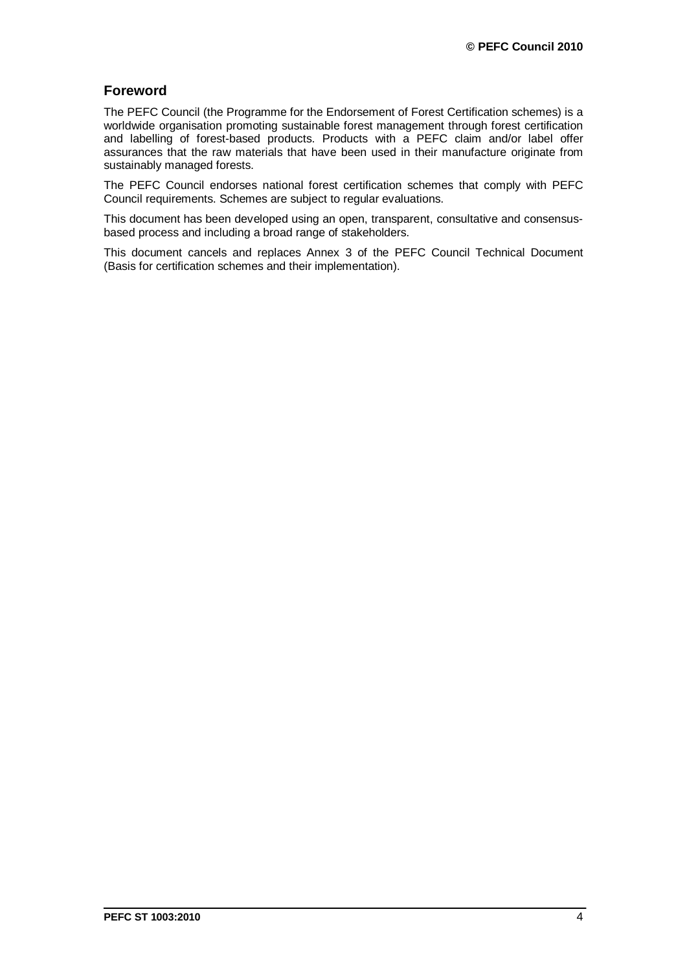# **Foreword**

The PEFC Council (the Programme for the Endorsement of Forest Certification schemes) is a worldwide organisation promoting sustainable forest management through forest certification and labelling of forest-based products. Products with a PEFC claim and/or label offer assurances that the raw materials that have been used in their manufacture originate from sustainably managed forests.

The PEFC Council endorses national forest certification schemes that comply with PEFC Council requirements. Schemes are subject to regular evaluations.

This document has been developed using an open, transparent, consultative and consensusbased process and including a broad range of stakeholders.

This document cancels and replaces Annex 3 of the PEFC Council Technical Document (Basis for certification schemes and their implementation).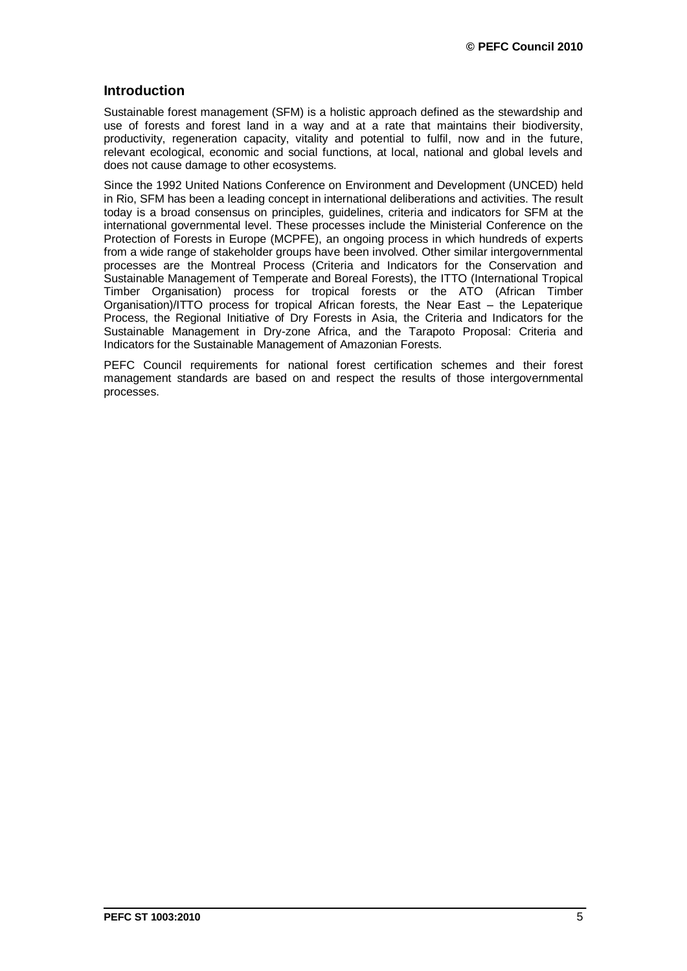## **Introduction**

Sustainable forest management (SFM) is a holistic approach defined as the stewardship and use of forests and forest land in a way and at a rate that maintains their biodiversity, productivity, regeneration capacity, vitality and potential to fulfil, now and in the future, relevant ecological, economic and social functions, at local, national and global levels and does not cause damage to other ecosystems.

Since the 1992 United Nations Conference on Environment and Development (UNCED) held in Rio, SFM has been a leading concept in international deliberations and activities. The result today is a broad consensus on principles, guidelines, criteria and indicators for SFM at the international governmental level. These processes include the Ministerial Conference on the Protection of Forests in Europe (MCPFE), an ongoing process in which hundreds of experts from a wide range of stakeholder groups have been involved. Other similar intergovernmental processes are the Montreal Process (Criteria and Indicators for the Conservation and Sustainable Management of Temperate and Boreal Forests), the ITTO (International Tropical Timber Organisation) process for tropical forests or the ATO (African Timber Organisation)/ITTO process for tropical African forests, the Near East – the Lepaterique Process, the Regional Initiative of Dry Forests in Asia, the Criteria and Indicators for the Sustainable Management in Dry-zone Africa, and the Tarapoto Proposal: Criteria and Indicators for the Sustainable Management of Amazonian Forests.

PEFC Council requirements for national forest certification schemes and their forest management standards are based on and respect the results of those intergovernmental processes.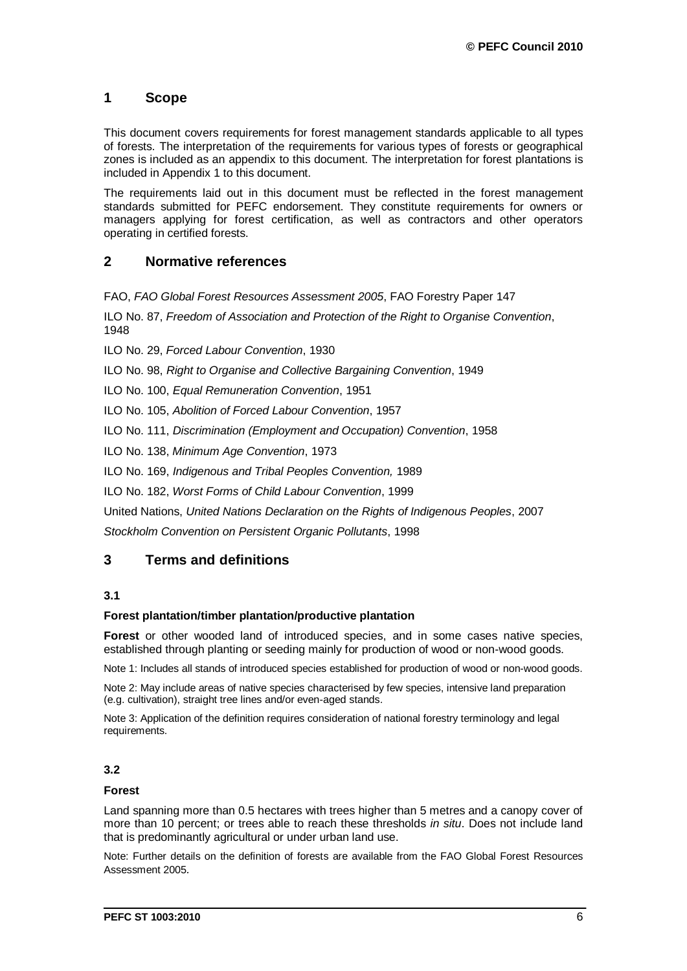# **1 Scope**

This document covers requirements for forest management standards applicable to all types of forests. The interpretation of the requirements for various types of forests or geographical zones is included as an appendix to this document. The interpretation for forest plantations is included in Appendix 1 to this document.

The requirements laid out in this document must be reflected in the forest management standards submitted for PEFC endorsement. They constitute requirements for owners or managers applying for forest certification, as well as contractors and other operators operating in certified forests.

# **2 Normative references**

FAO, *FAO Global Forest Resources Assessment 2005*, FAO Forestry Paper 147

ILO No. 87, *[Freedom of Association and Protection of the Right to Organise Convention](http://www.ilo.org/ilolex/cgi-lex/convde.pl?C087)*, [1948](http://www.ilo.org/ilolex/cgi-lex/convde.pl?C087)

ILO No. 29, *[Forced Labour Convention](http://www.ilo.org/ilolex/cgi-lex/convde.pl?C029)*, 1930

ILO No. 98, *[Right to Organise and Collective Bargaining Convention](http://www.ilo.org/ilolex/cgi-lex/convde.pl?C098)*, 1949

ILO No. 100, *[Equal Remuneration Convention](http://www.ilo.org/ilolex/cgi-lex/convde.pl?C100)*, 1951

ILO No. 105, *[Abolition of Forced Labour Convention](http://www.ilo.org/ilolex/cgi-lex/convde.pl?C105)*, 1957

ILO No. 111, *[Discrimination \(Employment and Occupation\) Convention](http://www.ilo.org/ilolex/cgi-lex/convde.pl?C111)*, 1958

ILO No. 138, *[Minimum Age Convention](http://www.ilo.org/ilolex/cgi-lex/convde.pl?C138)*, 1973

ILO No. 169, *Indigenous and Tribal Peoples Convention,* 1989

ILO No. 182, *[Worst Forms of Child Labour Convention](http://www.ilo.org/ilolex/cgi-lex/convde.pl?C182)*, 1999

United Nations, *United Nations Declaration on the Rights of Indigenous Peoples*, 2007

*Stockholm Convention on Persistent Organic Pollutants*, 1998

### **3 Terms and definitions**

#### **3.1**

#### **Forest plantation/timber plantation/productive plantation**

**Forest** or other wooded land of introduced species, and in some cases native species, established through planting or seeding mainly for production of wood or non-wood goods.

Note 1: Includes all stands of introduced species established for production of wood or non-wood goods.

Note 2: May include areas of native species characterised by few species, intensive land preparation (e.g. cultivation), straight tree lines and/or even-aged stands.

Note 3: Application of the definition requires consideration of national forestry terminology and legal requirements.

### **3.2**

#### **Forest**

Land spanning more than 0.5 hectares with trees higher than 5 metres and a canopy cover of more than 10 percent; or trees able to reach these thresholds *in situ*. Does not include land that is predominantly agricultural or under urban land use.

Note: Further details on the definition of forests are available from the FAO Global Forest Resources Assessment 2005*.*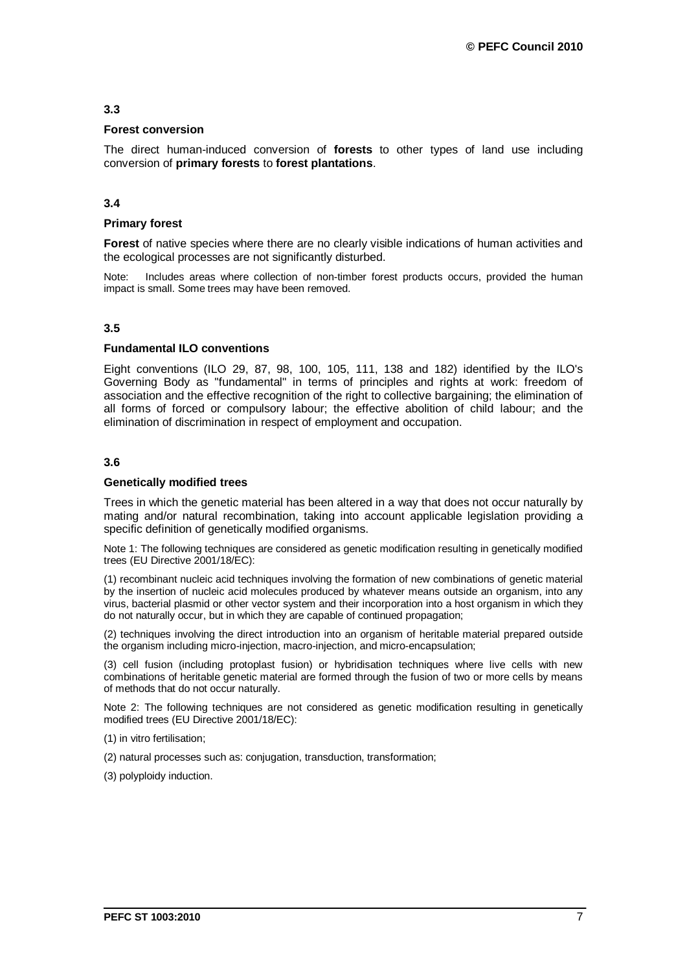#### **3.3**

#### **Forest conversion**

The direct human-induced conversion of **forests** to other types of land use including conversion of **primary forests** to **forest plantations**.

#### **3.4**

#### **Primary forest**

**Forest** of native species where there are no clearly visible indications of human activities and the ecological processes are not significantly disturbed.

Note: Includes areas where collection of non-timber forest products occurs, provided the human impact is small. Some trees may have been removed.

#### **3.5**

#### **Fundamental ILO conventions**

Eight conventions (ILO 29, 87, 98, 100, 105, 111, 138 and 182) identified by the ILO's Governing Body as "fundamental" in terms of principles and rights at work: freedom of association and the effective recognition of the right to collective bargaining; the elimination of all forms of forced or compulsory labour; the effective abolition of child labour; and the elimination of discrimination in respect of employment and occupation.

#### **3.6**

#### **Genetically modified trees**

Trees in which the genetic material has been altered in a way that does not occur naturally by mating and/or natural recombination, taking into account applicable legislation providing a specific definition of genetically modified organisms.

Note 1: The following techniques are considered as genetic modification resulting in genetically modified trees (EU Directive 2001/18/EC):

(1) recombinant nucleic acid techniques involving the formation of new combinations of genetic material by the insertion of nucleic acid molecules produced by whatever means outside an organism, into any virus, bacterial plasmid or other vector system and their incorporation into a host organism in which they do not naturally occur, but in which they are capable of continued propagation;

(2) techniques involving the direct introduction into an organism of heritable material prepared outside the organism including micro-injection, macro-injection, and micro-encapsulation;

(3) cell fusion (including protoplast fusion) or hybridisation techniques where live cells with new combinations of heritable genetic material are formed through the fusion of two or more cells by means of methods that do not occur naturally.

Note 2: The following techniques are not considered as genetic modification resulting in genetically modified trees (EU Directive 2001/18/EC):

(1) in vitro fertilisation;

(2) natural processes such as: conjugation, transduction, transformation;

(3) polyploidy induction.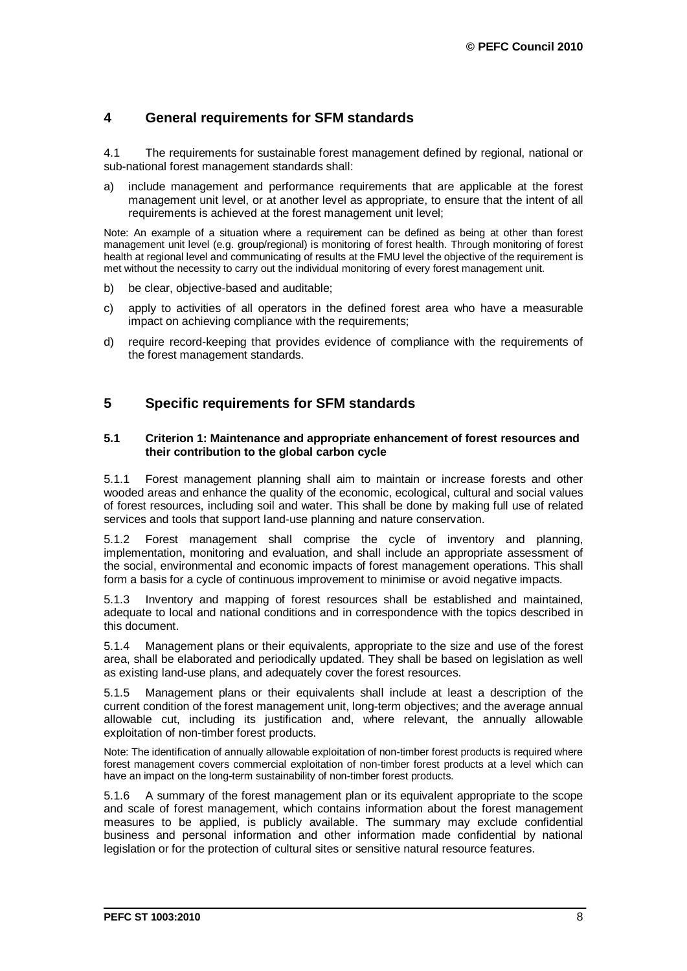# **4 General requirements for SFM standards**

4.1 The requirements for sustainable forest management defined by regional, national or sub-national forest management standards shall:

a) include management and performance requirements that are applicable at the forest management unit level, or at another level as appropriate, to ensure that the intent of all requirements is achieved at the forest management unit level;

Note: An example of a situation where a requirement can be defined as being at other than forest management unit level (e.g. group/regional) is monitoring of forest health. Through monitoring of forest health at regional level and communicating of results at the FMU level the objective of the requirement is met without the necessity to carry out the individual monitoring of every forest management unit.

- b) be clear, objective-based and auditable;
- c) apply to activities of all operators in the defined forest area who have a measurable impact on achieving compliance with the requirements;
- d) require record-keeping that provides evidence of compliance with the requirements of the forest management standards.

# **5 Specific requirements for SFM standards**

#### **5.1 Criterion 1: Maintenance and appropriate enhancement of forest resources and their contribution to the global carbon cycle**

5.1.1 Forest management planning shall aim to maintain or increase forests and other wooded areas and enhance the quality of the economic, ecological, cultural and social values of forest resources, including soil and water. This shall be done by making full use of related services and tools that support land-use planning and nature conservation.

5.1.2 Forest management shall comprise the cycle of inventory and planning, implementation, monitoring and evaluation, and shall include an appropriate assessment of the social, environmental and economic impacts of forest management operations. This shall form a basis for a cycle of continuous improvement to minimise or avoid negative impacts.

5.1.3 Inventory and mapping of forest resources shall be established and maintained, adequate to local and national conditions and in correspondence with the topics described in this document.

5.1.4 Management plans or their equivalents, appropriate to the size and use of the forest area, shall be elaborated and periodically updated. They shall be based on legislation as well as existing land-use plans, and adequately cover the forest resources.

5.1.5 Management plans or their equivalents shall include at least a description of the current condition of the forest management unit, long-term objectives; and the average annual allowable cut, including its justification and, where relevant, the annually allowable exploitation of non-timber forest products.

Note: The identification of annually allowable exploitation of non-timber forest products is required where forest management covers commercial exploitation of non-timber forest products at a level which can have an impact on the long-term sustainability of non-timber forest products.

5.1.6 A summary of the forest management plan or its equivalent appropriate to the scope and scale of forest management, which contains information about the forest management measures to be applied, is publicly available. The summary may exclude confidential business and personal information and other information made confidential by national legislation or for the protection of cultural sites or sensitive natural resource features.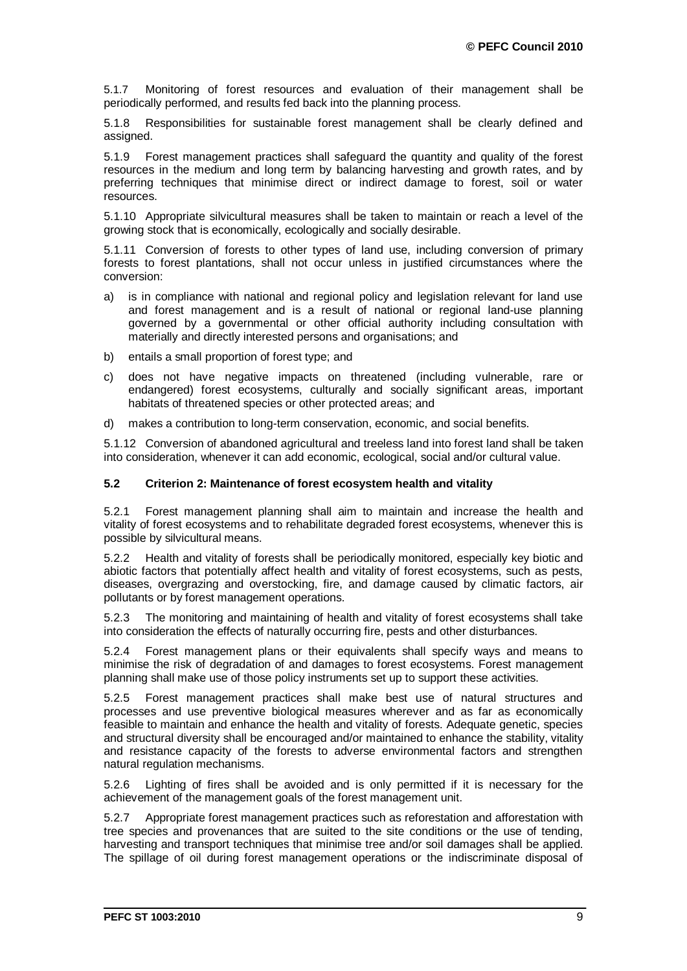5.1.7 Monitoring of forest resources and evaluation of their management shall be periodically performed, and results fed back into the planning process.

5.1.8 Responsibilities for sustainable forest management shall be clearly defined and assigned.

5.1.9 Forest management practices shall safeguard the quantity and quality of the forest resources in the medium and long term by balancing harvesting and growth rates, and by preferring techniques that minimise direct or indirect damage to forest, soil or water resources.

5.1.10 Appropriate silvicultural measures shall be taken to maintain or reach a level of the growing stock that is economically, ecologically and socially desirable.

5.1.11 Conversion of forests to other types of land use, including conversion of primary forests to forest plantations, shall not occur unless in justified circumstances where the conversion:

- a) is in compliance with national and regional policy and legislation relevant for land use and forest management and is a result of national or regional land-use planning governed by a governmental or other official authority including consultation with materially and directly interested persons and organisations; and
- b) entails a small proportion of forest type; and
- c) does not have negative impacts on threatened (including vulnerable, rare or endangered) forest ecosystems, culturally and socially significant areas, important habitats of threatened species or other protected areas; and
- d) makes a contribution to long-term conservation, economic, and social benefits.

5.1.12 Conversion of abandoned agricultural and treeless land into forest land shall be taken into consideration, whenever it can add economic, ecological, social and/or cultural value.

#### **5.2 Criterion 2: Maintenance of forest ecosystem health and vitality**

5.2.1 Forest management planning shall aim to maintain and increase the health and vitality of forest ecosystems and to rehabilitate degraded forest ecosystems, whenever this is possible by silvicultural means.

5.2.2 Health and vitality of forests shall be periodically monitored, especially key biotic and abiotic factors that potentially affect health and vitality of forest ecosystems, such as pests, diseases, overgrazing and overstocking, fire, and damage caused by climatic factors, air pollutants or by forest management operations.

5.2.3 The monitoring and maintaining of health and vitality of forest ecosystems shall take into consideration the effects of naturally occurring fire, pests and other disturbances.

5.2.4 Forest management plans or their equivalents shall specify ways and means to minimise the risk of degradation of and damages to forest ecosystems. Forest management planning shall make use of those policy instruments set up to support these activities.

5.2.5 Forest management practices shall make best use of natural structures and processes and use preventive biological measures wherever and as far as economically feasible to maintain and enhance the health and vitality of forests. Adequate genetic, species and structural diversity shall be encouraged and/or maintained to enhance the stability, vitality and resistance capacity of the forests to adverse environmental factors and strengthen natural regulation mechanisms.

5.2.6 Lighting of fires shall be avoided and is only permitted if it is necessary for the achievement of the management goals of the forest management unit.

5.2.7 Appropriate forest management practices such as reforestation and afforestation with tree species and provenances that are suited to the site conditions or the use of tending, harvesting and transport techniques that minimise tree and/or soil damages shall be applied. The spillage of oil during forest management operations or the indiscriminate disposal of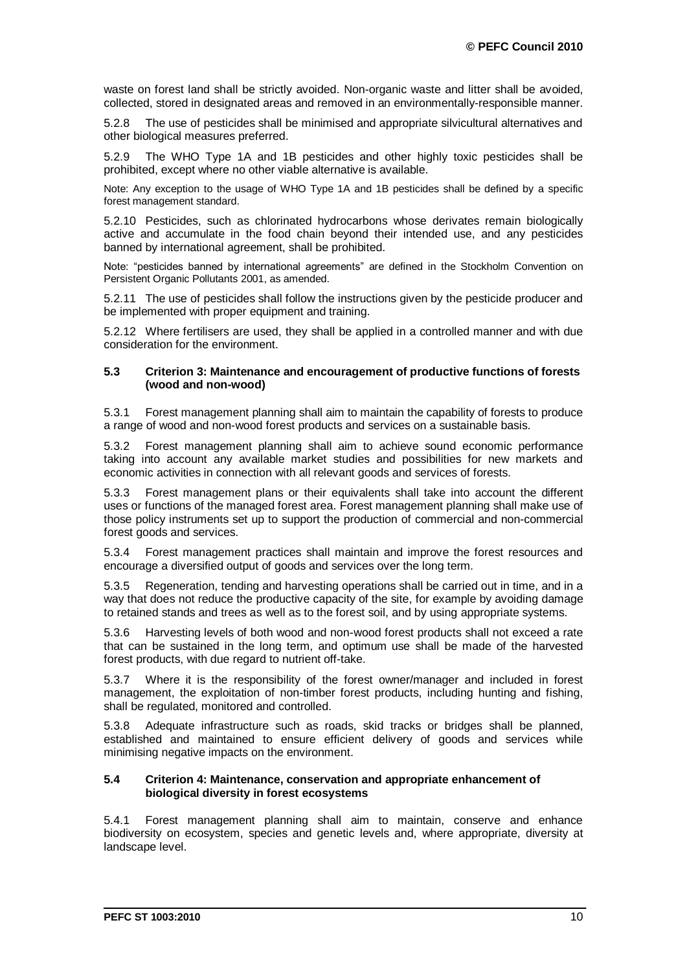waste on forest land shall be strictly avoided. Non-organic waste and litter shall be avoided, collected, stored in designated areas and removed in an environmentally-responsible manner.

5.2.8 The use of pesticides shall be minimised and appropriate silvicultural alternatives and other biological measures preferred.

5.2.9 The WHO Type 1A and 1B pesticides and other highly toxic pesticides shall be prohibited, except where no other viable alternative is available.

Note: Any exception to the usage of WHO Type 1A and 1B pesticides shall be defined by a specific forest management standard.

5.2.10 Pesticides, such as chlorinated hydrocarbons whose derivates remain biologically active and accumulate in the food chain beyond their intended use, and any pesticides banned by international agreement, shall be prohibited.

Note: "pesticides banned by international agreements" are defined in the Stockholm Convention on Persistent Organic Pollutants 2001, as amended.

5.2.11 The use of pesticides shall follow the instructions given by the pesticide producer and be implemented with proper equipment and training.

5.2.12 Where fertilisers are used, they shall be applied in a controlled manner and with due consideration for the environment.

#### **5.3 Criterion 3: Maintenance and encouragement of productive functions of forests (wood and non-wood)**

5.3.1 Forest management planning shall aim to maintain the capability of forests to produce a range of wood and non-wood forest products and services on a sustainable basis.

5.3.2 Forest management planning shall aim to achieve sound economic performance taking into account any available market studies and possibilities for new markets and economic activities in connection with all relevant goods and services of forests.

5.3.3 Forest management plans or their equivalents shall take into account the different uses or functions of the managed forest area. Forest management planning shall make use of those policy instruments set up to support the production of commercial and non-commercial forest goods and services.

5.3.4 Forest management practices shall maintain and improve the forest resources and encourage a diversified output of goods and services over the long term.

5.3.5 Regeneration, tending and harvesting operations shall be carried out in time, and in a way that does not reduce the productive capacity of the site, for example by avoiding damage to retained stands and trees as well as to the forest soil, and by using appropriate systems.

5.3.6 Harvesting levels of both wood and non-wood forest products shall not exceed a rate that can be sustained in the long term, and optimum use shall be made of the harvested forest products, with due regard to nutrient off-take.

5.3.7 Where it is the responsibility of the forest owner/manager and included in forest management, the exploitation of non-timber forest products, including hunting and fishing, shall be regulated, monitored and controlled.

5.3.8 Adequate infrastructure such as roads, skid tracks or bridges shall be planned, established and maintained to ensure efficient delivery of goods and services while minimising negative impacts on the environment.

#### **5.4 Criterion 4: Maintenance, conservation and appropriate enhancement of biological diversity in forest ecosystems**

5.4.1 Forest management planning shall aim to maintain, conserve and enhance biodiversity on ecosystem, species and genetic levels and, where appropriate, diversity at landscape level.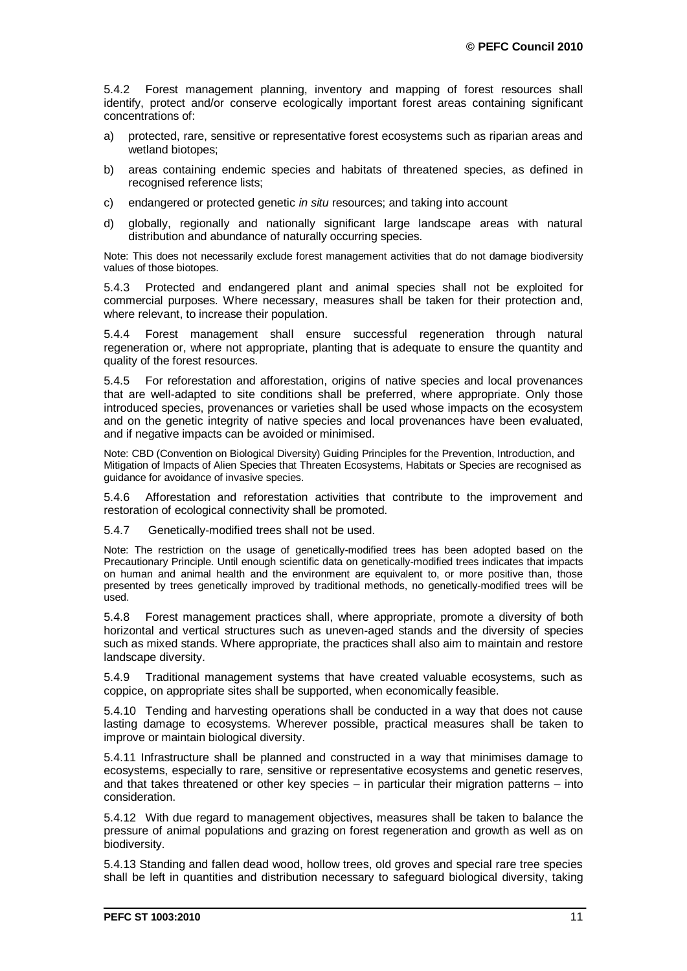5.4.2 Forest management planning, inventory and mapping of forest resources shall identify, protect and/or conserve ecologically important forest areas containing significant concentrations of:

- a) protected, rare, sensitive or representative forest ecosystems such as riparian areas and wetland biotopes;
- b) areas containing endemic species and habitats of threatened species, as defined in recognised reference lists;
- c) endangered or protected genetic *in situ* resources; and taking into account
- d) globally, regionally and nationally significant large landscape areas with natural distribution and abundance of naturally occurring species.

Note: This does not necessarily exclude forest management activities that do not damage biodiversity values of those biotopes.

5.4.3 Protected and endangered plant and animal species shall not be exploited for commercial purposes. Where necessary, measures shall be taken for their protection and, where relevant, to increase their population.

5.4.4 Forest management shall ensure successful regeneration through natural regeneration or, where not appropriate, planting that is adequate to ensure the quantity and quality of the forest resources.

5.4.5 For reforestation and afforestation, origins of native species and local provenances that are well-adapted to site conditions shall be preferred, where appropriate. Only those introduced species, provenances or varieties shall be used whose impacts on the ecosystem and on the genetic integrity of native species and local provenances have been evaluated, and if negative impacts can be avoided or minimised.

Note: CBD (Convention on Biological Diversity) Guiding Principles for the Prevention, Introduction, and Mitigation of Impacts of Alien Species that Threaten Ecosystems, Habitats or Species are recognised as guidance for avoidance of invasive species.

5.4.6 Afforestation and reforestation activities that contribute to the improvement and restoration of ecological connectivity shall be promoted.

5.4.7 Genetically-modified trees shall not be used.

Note: The restriction on the usage of genetically-modified trees has been adopted based on the Precautionary Principle. Until enough scientific data on genetically-modified trees indicates that impacts on human and animal health and the environment are equivalent to, or more positive than, those presented by trees genetically improved by traditional methods, no genetically-modified trees will be used.

5.4.8 Forest management practices shall, where appropriate, promote a diversity of both horizontal and vertical structures such as uneven-aged stands and the diversity of species such as mixed stands. Where appropriate, the practices shall also aim to maintain and restore landscape diversity.

5.4.9 Traditional management systems that have created valuable ecosystems, such as coppice, on appropriate sites shall be supported, when economically feasible.

5.4.10 Tending and harvesting operations shall be conducted in a way that does not cause lasting damage to ecosystems. Wherever possible, practical measures shall be taken to improve or maintain biological diversity.

5.4.11 Infrastructure shall be planned and constructed in a way that minimises damage to ecosystems, especially to rare, sensitive or representative ecosystems and genetic reserves, and that takes threatened or other key species – in particular their migration patterns – into consideration.

5.4.12 With due regard to management objectives, measures shall be taken to balance the pressure of animal populations and grazing on forest regeneration and growth as well as on biodiversity.

5.4.13 Standing and fallen dead wood, hollow trees, old groves and special rare tree species shall be left in quantities and distribution necessary to safeguard biological diversity, taking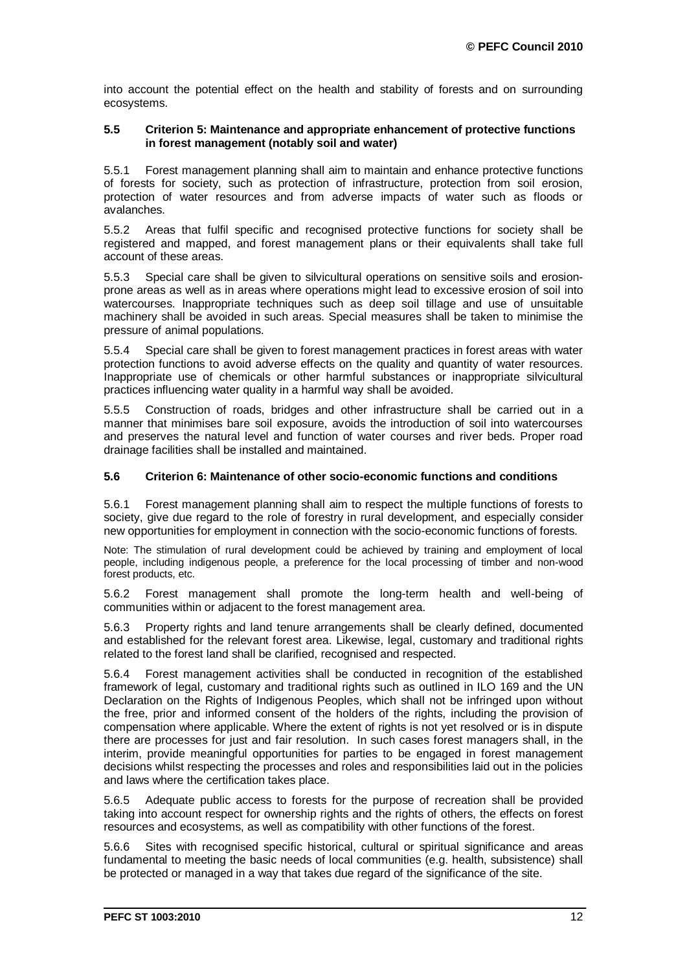into account the potential effect on the health and stability of forests and on surrounding ecosystems.

#### **5.5 Criterion 5: Maintenance and appropriate enhancement of protective functions in forest management (notably soil and water)**

5.5.1 Forest management planning shall aim to maintain and enhance protective functions of forests for society, such as protection of infrastructure, protection from soil erosion, protection of water resources and from adverse impacts of water such as floods or avalanches.

5.5.2 Areas that fulfil specific and recognised protective functions for society shall be registered and mapped, and forest management plans or their equivalents shall take full account of these areas.

5.5.3 Special care shall be given to silvicultural operations on sensitive soils and erosionprone areas as well as in areas where operations might lead to excessive erosion of soil into watercourses. Inappropriate techniques such as deep soil tillage and use of unsuitable machinery shall be avoided in such areas. Special measures shall be taken to minimise the pressure of animal populations.

5.5.4 Special care shall be given to forest management practices in forest areas with water protection functions to avoid adverse effects on the quality and quantity of water resources. Inappropriate use of chemicals or other harmful substances or inappropriate silvicultural practices influencing water quality in a harmful way shall be avoided.

5.5.5 Construction of roads, bridges and other infrastructure shall be carried out in a manner that minimises bare soil exposure, avoids the introduction of soil into watercourses and preserves the natural level and function of water courses and river beds. Proper road drainage facilities shall be installed and maintained.

#### **5.6 Criterion 6: Maintenance of other socio-economic functions and conditions**

5.6.1 Forest management planning shall aim to respect the multiple functions of forests to society, give due regard to the role of forestry in rural development, and especially consider new opportunities for employment in connection with the socio-economic functions of forests.

Note: The stimulation of rural development could be achieved by training and employment of local people, including indigenous people, a preference for the local processing of timber and non-wood forest products, etc.

5.6.2 Forest management shall promote the long-term health and well-being of communities within or adjacent to the forest management area.

5.6.3 Property rights and land tenure arrangements shall be clearly defined, documented and established for the relevant forest area. Likewise, legal, customary and traditional rights related to the forest land shall be clarified, recognised and respected.

5.6.4 Forest management activities shall be conducted in recognition of the established framework of legal, customary and traditional rights such as outlined in ILO 169 and the UN Declaration on the Rights of Indigenous Peoples, which shall not be infringed upon without the free, prior and informed consent of the holders of the rights, including the provision of compensation where applicable. Where the extent of rights is not yet resolved or is in dispute there are processes for just and fair resolution. In such cases forest managers shall, in the interim, provide meaningful opportunities for parties to be engaged in forest management decisions whilst respecting the processes and roles and responsibilities laid out in the policies and laws where the certification takes place.

5.6.5 Adequate public access to forests for the purpose of recreation shall be provided taking into account respect for ownership rights and the rights of others, the effects on forest resources and ecosystems, as well as compatibility with other functions of the forest.

5.6.6 Sites with recognised specific historical, cultural or spiritual significance and areas fundamental to meeting the basic needs of local communities (e.g. health, subsistence) shall be protected or managed in a way that takes due regard of the significance of the site.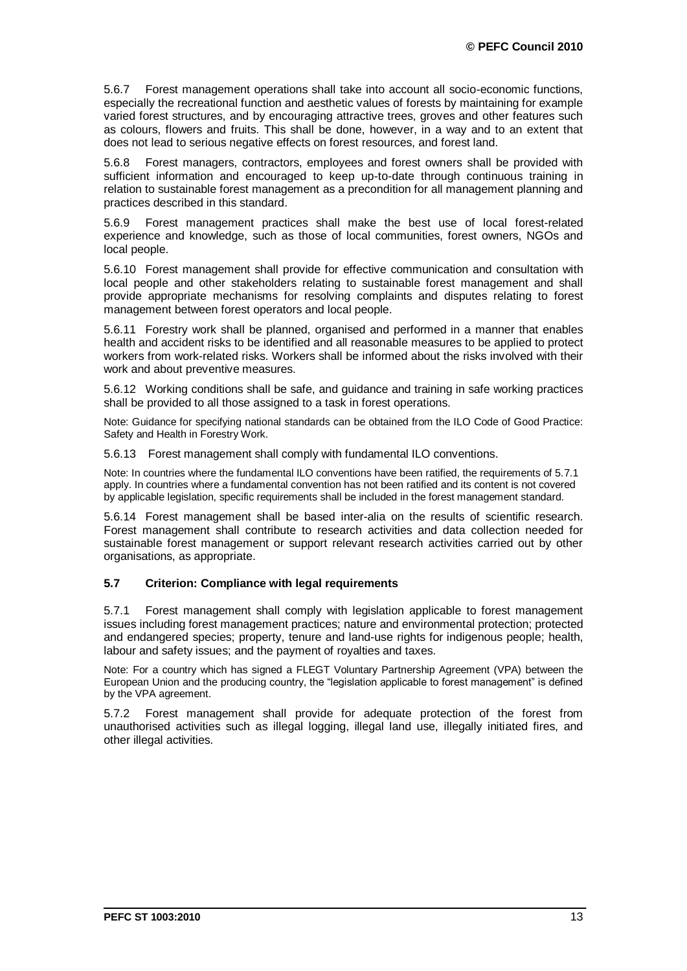5.6.7 Forest management operations shall take into account all socio-economic functions, especially the recreational function and aesthetic values of forests by maintaining for example varied forest structures, and by encouraging attractive trees, groves and other features such as colours, flowers and fruits. This shall be done, however, in a way and to an extent that does not lead to serious negative effects on forest resources, and forest land.

5.6.8 Forest managers, contractors, employees and forest owners shall be provided with sufficient information and encouraged to keep up-to-date through continuous training in relation to sustainable forest management as a precondition for all management planning and practices described in this standard.

5.6.9 Forest management practices shall make the best use of local forest-related experience and knowledge, such as those of local communities, forest owners, NGOs and local people.

5.6.10 Forest management shall provide for effective communication and consultation with local people and other stakeholders relating to sustainable forest management and shall provide appropriate mechanisms for resolving complaints and disputes relating to forest management between forest operators and local people.

5.6.11 Forestry work shall be planned, organised and performed in a manner that enables health and accident risks to be identified and all reasonable measures to be applied to protect workers from work-related risks. Workers shall be informed about the risks involved with their work and about preventive measures.

5.6.12 Working conditions shall be safe, and guidance and training in safe working practices shall be provided to all those assigned to a task in forest operations.

Note: Guidance for specifying national standards can be obtained from the ILO Code of Good Practice: Safety and Health in Forestry Work.

5.6.13 Forest management shall comply with fundamental ILO conventions.

Note: In countries where the fundamental ILO conventions have been ratified, the requirements of 5.7.1 apply. In countries where a fundamental convention has not been ratified and its content is not covered by applicable legislation, specific requirements shall be included in the forest management standard.

5.6.14 Forest management shall be based inter-alia on the results of scientific research. Forest management shall contribute to research activities and data collection needed for sustainable forest management or support relevant research activities carried out by other organisations, as appropriate.

#### **5.7 Criterion: Compliance with legal requirements**

5.7.1 Forest management shall comply with legislation applicable to forest management issues including forest management practices; nature and environmental protection; protected and endangered species; property, tenure and land-use rights for indigenous people; health, labour and safety issues; and the payment of royalties and taxes.

Note: For a country which has signed a FLEGT Voluntary Partnership Agreement (VPA) between the European Union and the producing country, the "legislation applicable to forest management" is defined by the VPA agreement.

5.7.2 Forest management shall provide for adequate protection of the forest from unauthorised activities such as illegal logging, illegal land use, illegally initiated fires, and other illegal activities.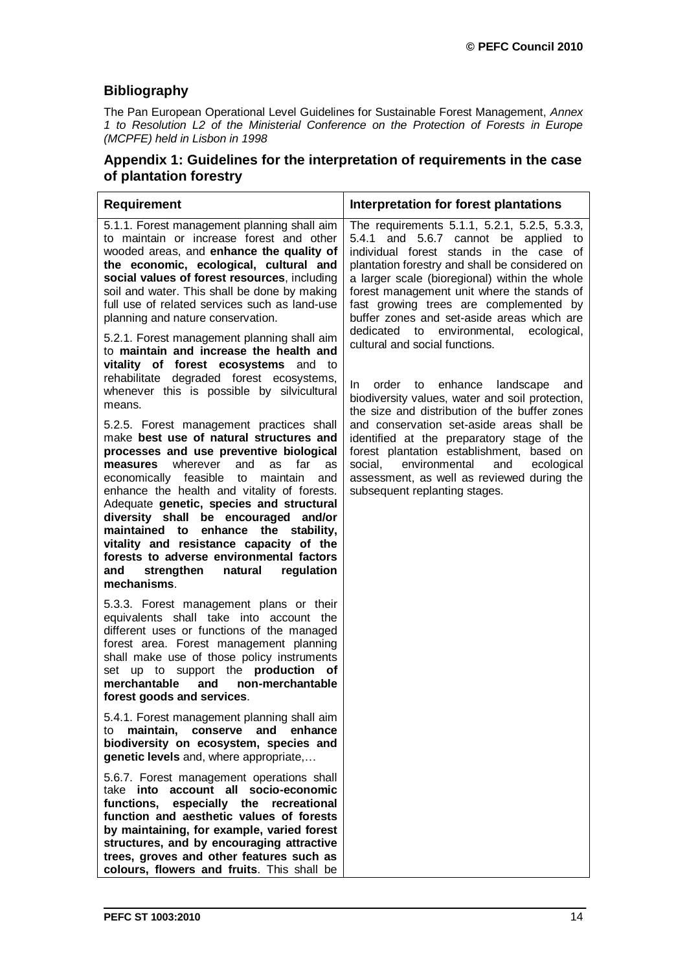# **Bibliography**

The Pan European Operational Level Guidelines for Sustainable Forest Management, *Annex 1 to Resolution L2 of the Ministerial Conference on the Protection of Forests in Europe (MCPFE) held in Lisbon in 1998*

# **Appendix 1: Guidelines for the interpretation of requirements in the case of plantation forestry**

| <b>Requirement</b>                                                                                                                                                                                                                                                                                                                                                                                                                                                                                                                                                | Interpretation for forest plantations                                                                                                                                                                                                                                                                                                                                       |
|-------------------------------------------------------------------------------------------------------------------------------------------------------------------------------------------------------------------------------------------------------------------------------------------------------------------------------------------------------------------------------------------------------------------------------------------------------------------------------------------------------------------------------------------------------------------|-----------------------------------------------------------------------------------------------------------------------------------------------------------------------------------------------------------------------------------------------------------------------------------------------------------------------------------------------------------------------------|
| 5.1.1. Forest management planning shall aim<br>to maintain or increase forest and other<br>wooded areas, and enhance the quality of<br>the economic, ecological, cultural and<br>social values of forest resources, including<br>soil and water. This shall be done by making<br>full use of related services such as land-use<br>planning and nature conservation.                                                                                                                                                                                               | The requirements 5.1.1, 5.2.1, 5.2.5, 5.3.3,<br>5.4.1 and 5.6.7 cannot be applied<br>to<br>individual forest stands in the case of<br>plantation forestry and shall be considered on<br>a larger scale (bioregional) within the whole<br>forest management unit where the stands of<br>fast growing trees are complemented by<br>buffer zones and set-aside areas which are |
| 5.2.1. Forest management planning shall aim<br>to maintain and increase the health and<br>vitality of forest ecosystems and to<br>rehabilitate degraded forest ecosystems,<br>whenever this is possible by silvicultural<br>means.                                                                                                                                                                                                                                                                                                                                | dedicated to environmental,<br>ecological,<br>cultural and social functions.<br>enhance<br>order to<br>landscape<br>and<br>In.<br>biodiversity values, water and soil protection,                                                                                                                                                                                           |
| 5.2.5. Forest management practices shall<br>make best use of natural structures and<br>processes and use preventive biological<br>wherever<br>and<br>far<br>measures<br>as<br>as<br>economically feasible<br>to<br>maintain<br>and<br>enhance the health and vitality of forests.<br>Adequate genetic, species and structural<br>diversity shall be encouraged and/or<br>maintained to enhance the stability,<br>vitality and resistance capacity of the<br>forests to adverse environmental factors<br>strengthen<br>and<br>natural<br>regulation<br>mechanisms. | the size and distribution of the buffer zones<br>and conservation set-aside areas shall be<br>identified at the preparatory stage of the<br>forest plantation establishment, based on<br>environmental<br>social,<br>ecological<br>and<br>assessment, as well as reviewed during the<br>subsequent replanting stages.                                                       |
| 5.3.3. Forest management plans or their<br>equivalents shall take into account the<br>different uses or functions of the managed<br>forest area. Forest management planning<br>shall make use of those policy instruments<br>set up to support the <b>production</b><br>оf<br>and<br>non-merchantable<br>merchantable<br>forest goods and services.                                                                                                                                                                                                               |                                                                                                                                                                                                                                                                                                                                                                             |
| 5.4.1. Forest management planning shall aim<br>maintain,<br>conserve<br>and<br>enhance<br>to<br>biodiversity on ecosystem, species and<br>genetic levels and, where appropriate,                                                                                                                                                                                                                                                                                                                                                                                  |                                                                                                                                                                                                                                                                                                                                                                             |
| 5.6.7. Forest management operations shall<br>account all socio-economic<br>take <b>into</b><br>functions,<br>especially the recreational<br>function and aesthetic values of forests<br>by maintaining, for example, varied forest<br>structures, and by encouraging attractive<br>trees, groves and other features such as<br>colours, flowers and fruits. This shall be                                                                                                                                                                                         |                                                                                                                                                                                                                                                                                                                                                                             |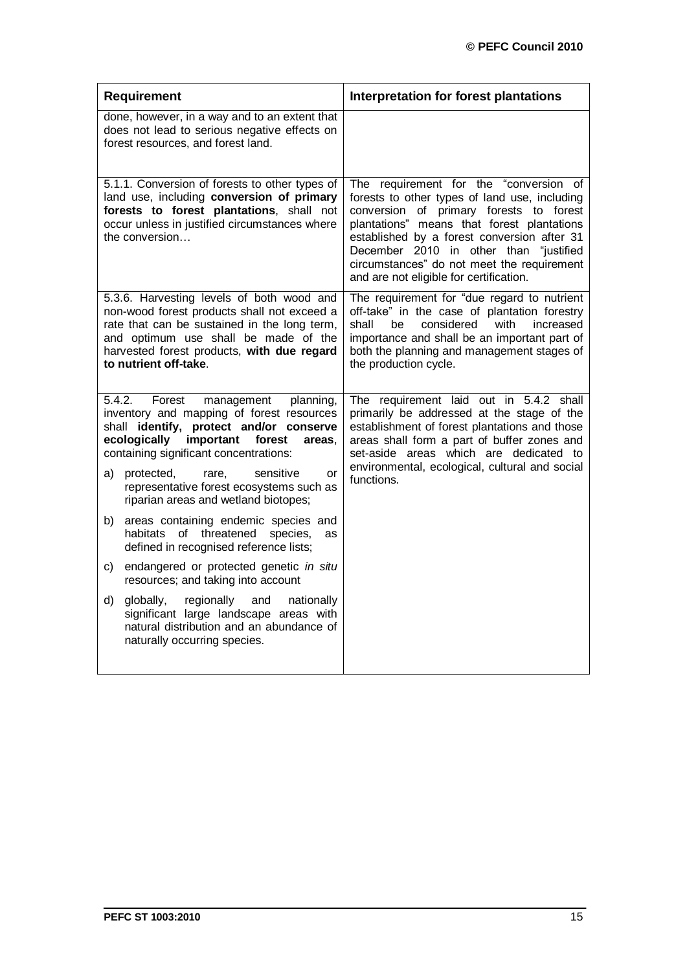| <b>Requirement</b>                                                                                                                                                                                                                                      | Interpretation for forest plantations                                                                                                                                                                                                                                                                                                                              |
|---------------------------------------------------------------------------------------------------------------------------------------------------------------------------------------------------------------------------------------------------------|--------------------------------------------------------------------------------------------------------------------------------------------------------------------------------------------------------------------------------------------------------------------------------------------------------------------------------------------------------------------|
| done, however, in a way and to an extent that<br>does not lead to serious negative effects on<br>forest resources, and forest land.                                                                                                                     |                                                                                                                                                                                                                                                                                                                                                                    |
| 5.1.1. Conversion of forests to other types of<br>land use, including conversion of primary<br>forests to forest plantations, shall not<br>occur unless in justified circumstances where<br>the conversion                                              | The requirement for the "conversion of<br>forests to other types of land use, including<br>conversion of primary forests to forest<br>plantations" means that forest plantations<br>established by a forest conversion after 31<br>December 2010 in other than "justified<br>circumstances" do not meet the requirement<br>and are not eligible for certification. |
| 5.3.6. Harvesting levels of both wood and<br>non-wood forest products shall not exceed a<br>rate that can be sustained in the long term,<br>and optimum use shall be made of the<br>harvested forest products, with due regard<br>to nutrient off-take. | The requirement for "due regard to nutrient<br>off-take" in the case of plantation forestry<br>considered<br>with<br>increased<br>shall<br>be<br>importance and shall be an important part of<br>both the planning and management stages of<br>the production cycle.                                                                                               |
| 5.4.2.<br>Forest<br>planning,<br>management<br>inventory and mapping of forest resources<br>shall identify, protect and/or conserve<br>ecologically<br>important<br>forest<br>areas,<br>containing significant concentrations:                          | The requirement laid out in 5.4.2 shall<br>primarily be addressed at the stage of the<br>establishment of forest plantations and those<br>areas shall form a part of buffer zones and<br>set-aside areas which are dedicated to<br>environmental, ecological, cultural and social<br>functions.                                                                    |
| protected,<br>sensitive<br>a)<br>rare,<br>or<br>representative forest ecosystems such as<br>riparian areas and wetland biotopes;                                                                                                                        |                                                                                                                                                                                                                                                                                                                                                                    |
| areas containing endemic species and<br>b)<br>habitats of threatened<br>species,<br><b>as</b><br>defined in recognised reference lists;                                                                                                                 |                                                                                                                                                                                                                                                                                                                                                                    |
| endangered or protected genetic in situ<br>C)<br>resources; and taking into account                                                                                                                                                                     |                                                                                                                                                                                                                                                                                                                                                                    |
| d)<br>globally,<br>regionally<br>nationally<br>and<br>significant large landscape areas with<br>natural distribution and an abundance of<br>naturally occurring species.                                                                                |                                                                                                                                                                                                                                                                                                                                                                    |